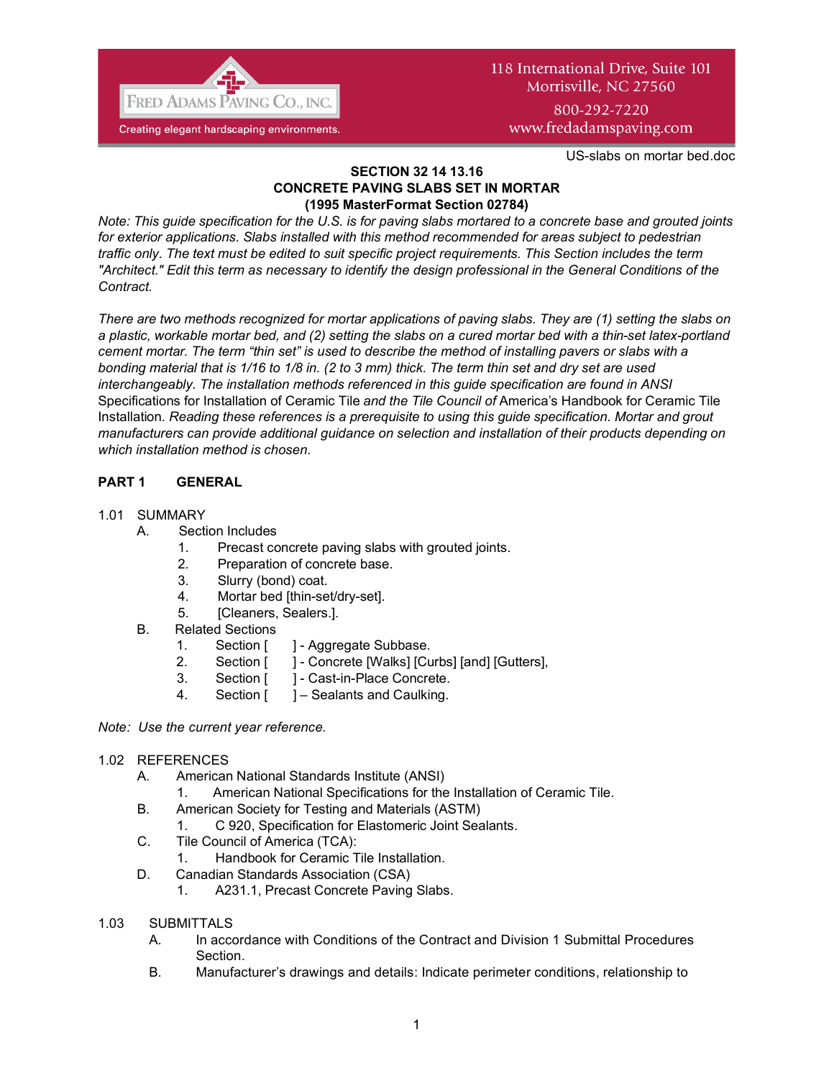

# 118 International Drive, Suite 101 Morrisville, NC 27560 800-292-7220

www.fredadamspaving.com

US-slabs on mortar bed.doc

#### **SECTION 32 14 13.16 CONCRETE PAVING SLABS SET IN MORTAR (1995 MasterFormat Section 02784)**

*Note: This guide specification for the U.S. is for paving slabs mortared to a concrete base and grouted joints for exterior applications. Slabs installed with this method recommended for areas subject to pedestrian traffic only. The text must be edited to suit specific project requirements. This Section includes the term "Architect." Edit this term as necessary to identify the design professional in the General Conditions of the Contract.* 

*There are two methods recognized for mortar applications of paving slabs. They are (1) setting the slabs on a plastic, workable mortar bed, and (2) setting the slabs on a cured mortar bed with a thin-set latex-portland cement mortar. The term "thin set" is used to describe the method of installing pavers or slabs with a bonding material that is 1/16 to 1/8 in. (2 to 3 mm) thick. The term thin set and dry set are used interchangeably. The installation methods referenced in this guide specification are found in ANSI*  Specifications for Installation of Ceramic Tile *and the Tile Council of* America's Handbook for Ceramic Tile Installation*. Reading these references is a prerequisite to using this guide specification. Mortar and grout manufacturers can provide additional guidance on selection and installation of their products depending on which installation method is chosen.*

# **PART 1 GENERAL**

## 1.01 SUMMARY

- A. Section Includes
	- 1. Precast concrete paving slabs with grouted joints.
	- 2. Preparation of concrete base.
	- 3. Slurry (bond) coat.
	- 4. Mortar bed [thin-set/dry-set].
	- 5. [Cleaners, Sealers.].
- B. Related Sections
	- 1. Section [ ] Aggregate Subbase.
	- 2. Section [ ] Concrete [Walks] [Curbs] [and] [Gutters],
	- 3. Section [ ] Cast-in-Place Concrete.
	- 4. Section [ ] Sealants and Caulking.

*Note: Use the current year reference.*

## 1.02 REFERENCES

- A. American National Standards Institute (ANSI)
	- 1. American National Specifications for the Installation of Ceramic Tile.
- B. American Society for Testing and Materials (ASTM)
	- 1. C 920, Specification for Elastomeric Joint Sealants.
- C. Tile Council of America (TCA):
	- 1. Handbook for Ceramic Tile Installation.
- D. Canadian Standards Association (CSA)
	- 1. A231.1, Precast Concrete Paving Slabs.
- 1.03 SUBMITTALS
	- A. In accordance with Conditions of the Contract and Division 1 Submittal Procedures Section.
	- B. Manufacturer's drawings and details: Indicate perimeter conditions, relationship to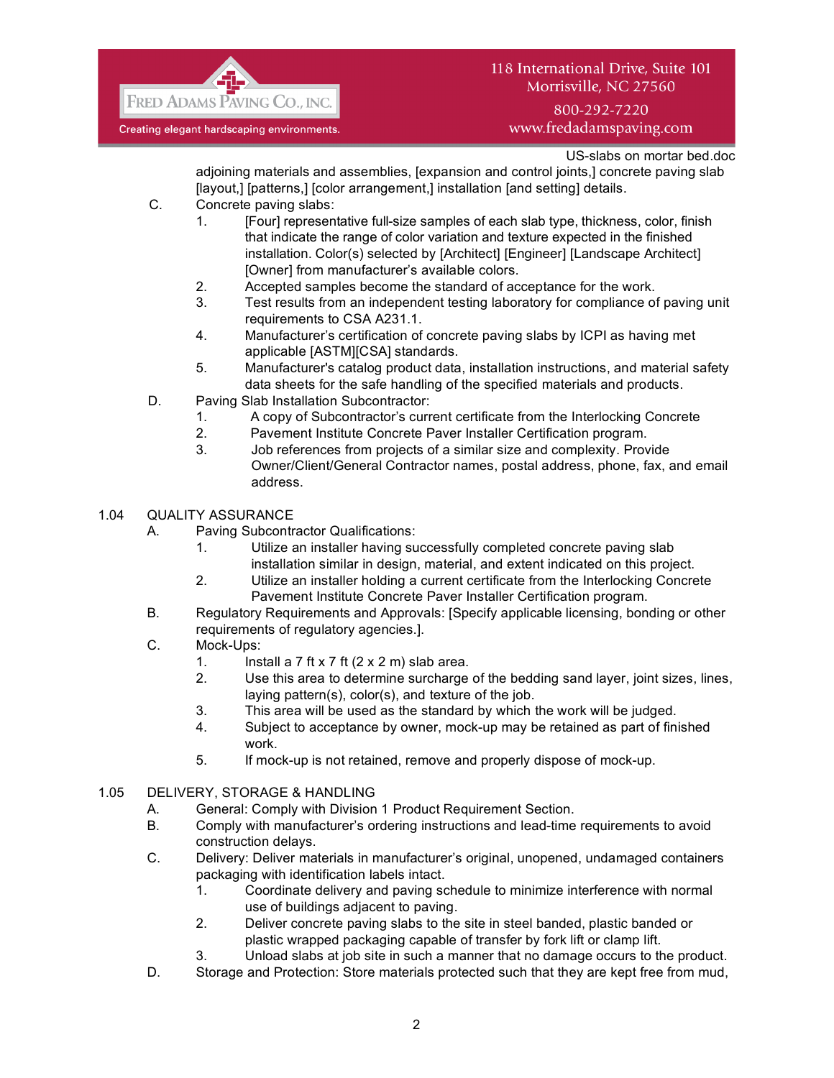

## 800-292-7220 www.fredadamspaving.com

US-slabs on mortar bed.doc

adjoining materials and assemblies, [expansion and control joints,] concrete paving slab [layout,] [patterns,] [color arrangement,] installation [and setting] details.

- C. Concrete paving slabs:
	- 1. [Four] representative full-size samples of each slab type, thickness, color, finish that indicate the range of color variation and texture expected in the finished installation. Color(s) selected by [Architect] [Engineer] [Landscape Architect] [Owner] from manufacturer's available colors.
	- 2. Accepted samples become the standard of acceptance for the work.
	- 3. Test results from an independent testing laboratory for compliance of paving unit requirements to CSA A231.1.
	- 4. Manufacturer's certification of concrete paving slabs by ICPI as having met applicable [ASTM][CSA] standards.
	- 5. Manufacturer's catalog product data, installation instructions, and material safety data sheets for the safe handling of the specified materials and products.
- D. Paving Slab Installation Subcontractor:
	- 1. A copy of Subcontractor's current certificate from the Interlocking Concrete
	- 2. Pavement Institute Concrete Paver Installer Certification program.
	- 3. Job references from projects of a similar size and complexity. Provide Owner/Client/General Contractor names, postal address, phone, fax, and email address.

## 1.04 QUALITY ASSURANCE

- A. Paving Subcontractor Qualifications:
	- 1. Utilize an installer having successfully completed concrete paving slab installation similar in design, material, and extent indicated on this project.
	- 2. Utilize an installer holding a current certificate from the Interlocking Concrete Pavement Institute Concrete Paver Installer Certification program.
- B. Regulatory Requirements and Approvals: [Specify applicable licensing, bonding or other requirements of regulatory agencies.].
- C. Mock-Ups:
	- 1. Install a  $7$  ft  $\times$  7 ft  $(2 \times 2 \text{ m})$  slab area.
	- 2. Use this area to determine surcharge of the bedding sand layer, joint sizes, lines, laying pattern(s), color(s), and texture of the job.
	- 3. This area will be used as the standard by which the work will be judged.
	- 4. Subject to acceptance by owner, mock-up may be retained as part of finished work.
	- 5. If mock-up is not retained, remove and properly dispose of mock-up.

## 1.05 DELIVERY, STORAGE & HANDLING

- A. General: Comply with Division 1 Product Requirement Section.
- B. Comply with manufacturer's ordering instructions and lead-time requirements to avoid construction delays.
- C. Delivery: Deliver materials in manufacturer's original, unopened, undamaged containers packaging with identification labels intact.
	- 1. Coordinate delivery and paving schedule to minimize interference with normal use of buildings adjacent to paving.
	- 2. Deliver concrete paving slabs to the site in steel banded, plastic banded or plastic wrapped packaging capable of transfer by fork lift or clamp lift.
	- 3. Unload slabs at job site in such a manner that no damage occurs to the product.
- D. Storage and Protection: Store materials protected such that they are kept free from mud,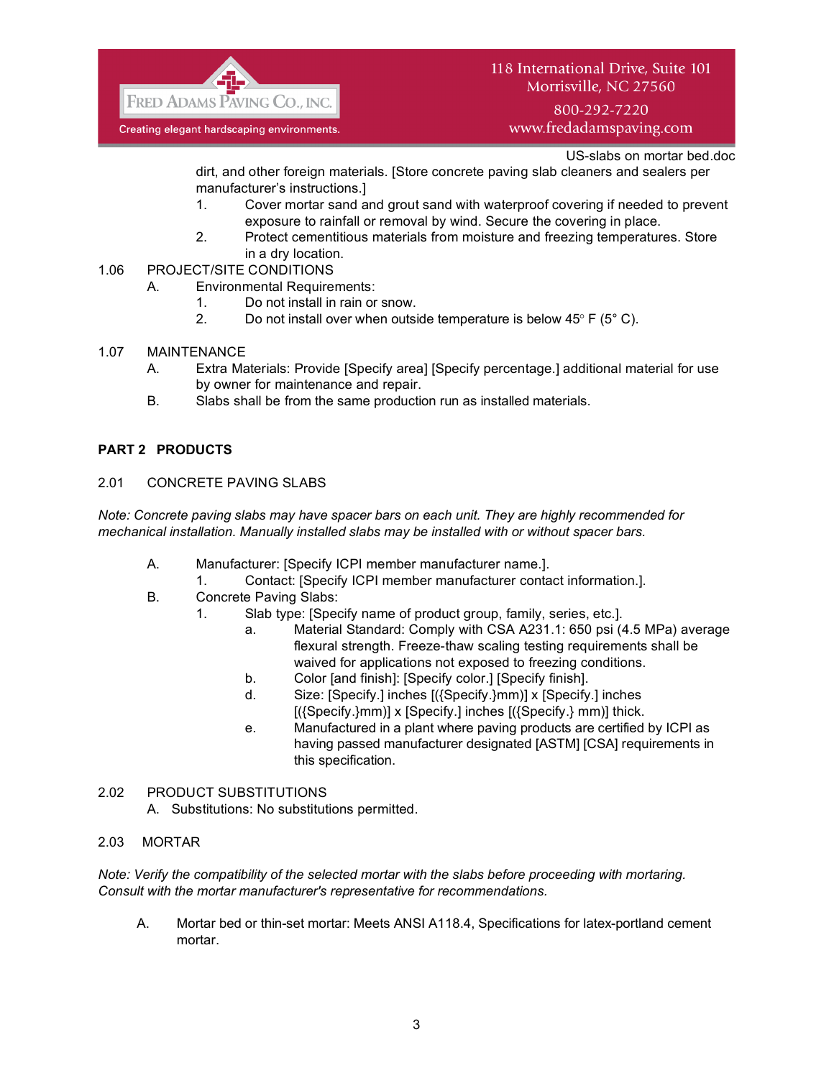

800-292-7220 www.fredadamspaving.com

US-slabs on mortar bed.doc

dirt, and other foreign materials. [Store concrete paving slab cleaners and sealers per manufacturer's instructions.]

- 1. Cover mortar sand and grout sand with waterproof covering if needed to prevent exposure to rainfall or removal by wind. Secure the covering in place.
- 2. Protect cementitious materials from moisture and freezing temperatures. Store in a dry location.
- 1.06 PROJECT/SITE CONDITIONS
	- A. Environmental Requirements:
		- 1. Do not install in rain or snow.
		- 2. Do not install over when outside temperature is below  $45^{\circ}$  F ( $5^{\circ}$  C).
- 1.07 MAINTENANCE
	- A. Extra Materials: Provide [Specify area] [Specify percentage.] additional material for use by owner for maintenance and repair.
	- B. Slabs shall be from the same production run as installed materials.

## **PART 2 PRODUCTS**

#### 2.01 CONCRETE PAVING SLABS

*Note: Concrete paving slabs may have spacer bars on each unit. They are highly recommended for mechanical installation. Manually installed slabs may be installed with or without spacer bars.*

- A. Manufacturer: [Specify ICPI member manufacturer name.].
- 1. Contact: [Specify ICPI member manufacturer contact information.].
- B. Concrete Paving Slabs:
	- 1. Slab type: [Specify name of product group, family, series, etc.].
		- a. Material Standard: Comply with CSA A231.1: 650 psi (4.5 MPa) average flexural strength. Freeze-thaw scaling testing requirements shall be waived for applications not exposed to freezing conditions.
		- b. Color [and finish]: [Specify color.] [Specify finish].
		- d. Size: [Specify.] inches [({Specify.}mm)] x [Specify.] inches [({Specify.}mm)] x [Specify.] inches [({Specify.} mm)] thick.
		- e. Manufactured in a plant where paving products are certified by ICPI as having passed manufacturer designated [ASTM] [CSA] requirements in this specification.

#### 2.02 PRODUCT SUBSTITUTIONS

A. Substitutions: No substitutions permitted.

#### 2.03 MORTAR

*Note: Verify the compatibility of the selected mortar with the slabs before proceeding with mortaring. Consult with the mortar manufacturer's representative for recommendations.*

A. Mortar bed or thin-set mortar: Meets ANSI A118.4, Specifications for latex-portland cement mortar.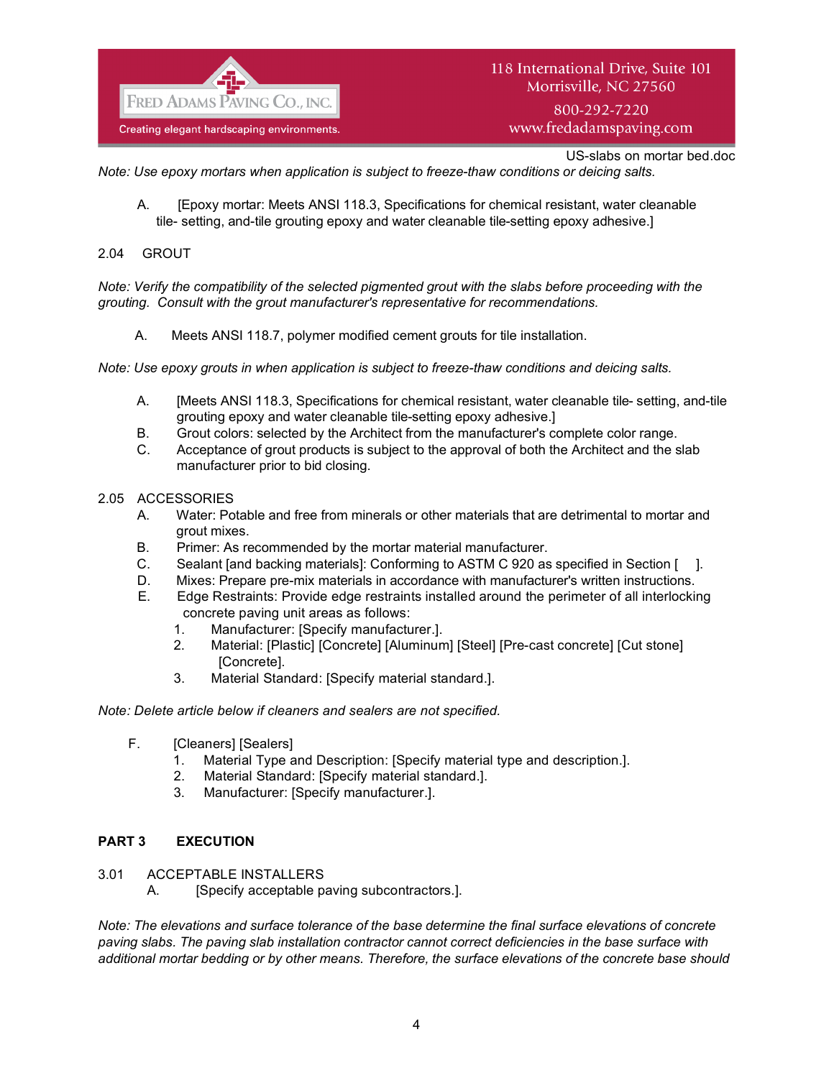

www.fredadamspaving.com

US-slabs on mortar bed.doc

*Note: Use epoxy mortars when application is subject to freeze-thaw conditions or deicing salts.*

A. [Epoxy mortar: Meets ANSI 118.3, Specifications for chemical resistant, water cleanable tile- setting, and-tile grouting epoxy and water cleanable tile-setting epoxy adhesive.]

## 2.04 GROUT

*Note: Verify the compatibility of the selected pigmented grout with the slabs before proceeding with the grouting. Consult with the grout manufacturer's representative for recommendations.*

A. Meets ANSI 118.7, polymer modified cement grouts for tile installation.

*Note: Use epoxy grouts in when application is subject to freeze-thaw conditions and deicing salts.*

- A. [Meets ANSI 118.3, Specifications for chemical resistant, water cleanable tile- setting, and-tile grouting epoxy and water cleanable tile-setting epoxy adhesive.]
- B. Grout colors: selected by the Architect from the manufacturer's complete color range.
- C. Acceptance of grout products is subject to the approval of both the Architect and the slab manufacturer prior to bid closing.

#### 2.05 ACCESSORIES

- A. Water: Potable and free from minerals or other materials that are detrimental to mortar and grout mixes.
- B. Primer: As recommended by the mortar material manufacturer.
- C. Sealant [and backing materials]: Conforming to ASTM C 920 as specified in Section [ ].
- D. Mixes: Prepare pre-mix materials in accordance with manufacturer's written instructions.
- E. Edge Restraints: Provide edge restraints installed around the perimeter of all interlocking concrete paving unit areas as follows:
	- 1. Manufacturer: [Specify manufacturer.].
	- 2. Material: [Plastic] [Concrete] [Aluminum] [Steel] [Pre-cast concrete] [Cut stone] [Concrete].
	- 3. Material Standard: [Specify material standard.].

#### *Note: Delete article below if cleaners and sealers are not specified.*

- F. [Cleaners] [Sealers]
	- 1. Material Type and Description: [Specify material type and description.].
	- 2. Material Standard: [Specify material standard.].
	- 3. Manufacturer: [Specify manufacturer.].

## **PART 3 EXECUTION**

- 3.01 ACCEPTABLE INSTALLERS
	- A. [Specify acceptable paving subcontractors.].

*Note: The elevations and surface tolerance of the base determine the final surface elevations of concrete paving slabs. The paving slab installation contractor cannot correct deficiencies in the base surface with additional mortar bedding or by other means. Therefore, the surface elevations of the concrete base should*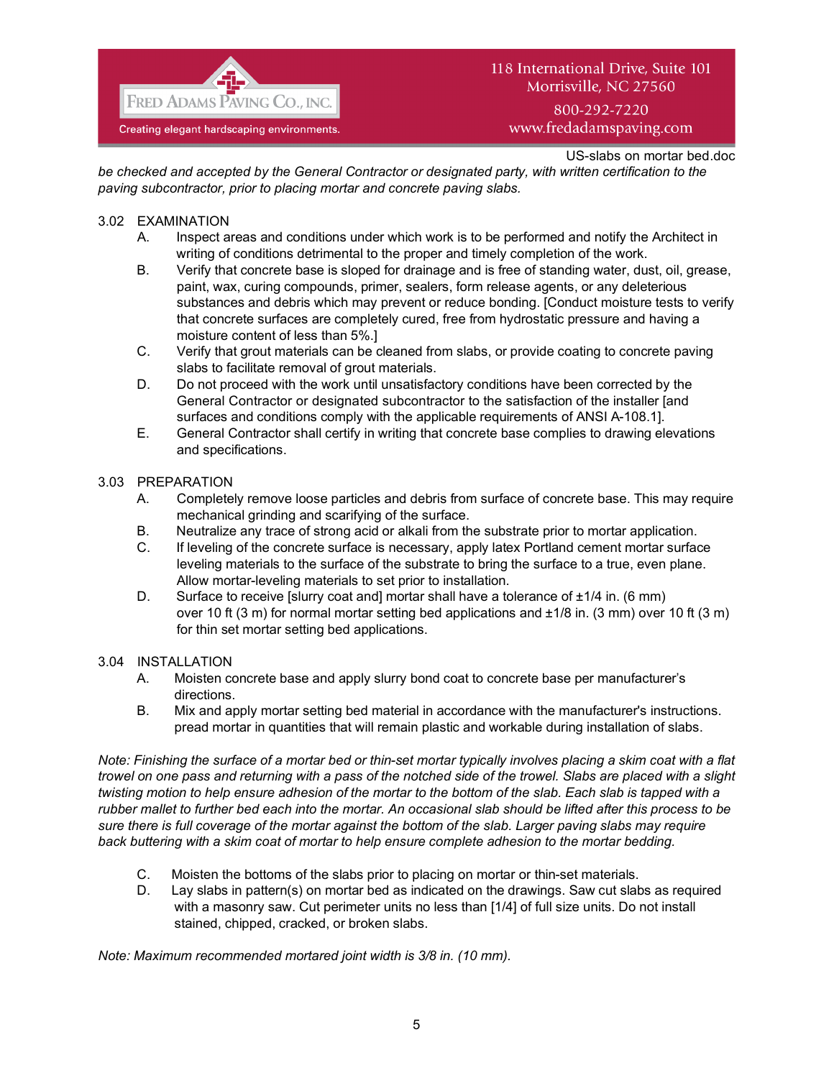

800-292-7220 www.fredadamspaving.com

US-slabs on mortar bed.doc

*be checked and accepted by the General Contractor or designated party, with written certification to the paving subcontractor, prior to placing mortar and concrete paving slabs.*

## 3.02 EXAMINATION

- A. Inspect areas and conditions under which work is to be performed and notify the Architect in writing of conditions detrimental to the proper and timely completion of the work.
- B. Verify that concrete base is sloped for drainage and is free of standing water, dust, oil, grease, paint, wax, curing compounds, primer, sealers, form release agents, or any deleterious substances and debris which may prevent or reduce bonding. [Conduct moisture tests to verify that concrete surfaces are completely cured, free from hydrostatic pressure and having a moisture content of less than 5%.]
- C. Verify that grout materials can be cleaned from slabs, or provide coating to concrete paving slabs to facilitate removal of grout materials.
- D. Do not proceed with the work until unsatisfactory conditions have been corrected by the General Contractor or designated subcontractor to the satisfaction of the installer [and surfaces and conditions comply with the applicable requirements of ANSI A-108.1].
- E. General Contractor shall certify in writing that concrete base complies to drawing elevations and specifications.

#### 3.03 PREPARATION

- A. Completely remove loose particles and debris from surface of concrete base. This may require mechanical grinding and scarifying of the surface.
- B. Neutralize any trace of strong acid or alkali from the substrate prior to mortar application.
- C. If leveling of the concrete surface is necessary, apply latex Portland cement mortar surface leveling materials to the surface of the substrate to bring the surface to a true, even plane. Allow mortar-leveling materials to set prior to installation.
- D. Surface to receive [slurry coat and] mortar shall have a tolerance of  $\pm 1/4$  in. (6 mm) over 10 ft (3 m) for normal mortar setting bed applications and ±1/8 in. (3 mm) over 10 ft (3 m) for thin set mortar setting bed applications.

## 3.04 INSTALLATION

- A. Moisten concrete base and apply slurry bond coat to concrete base per manufacturer's directions.
- B. Mix and apply mortar setting bed material in accordance with the manufacturer's instructions. pread mortar in quantities that will remain plastic and workable during installation of slabs.

*Note: Finishing the surface of a mortar bed or thin-set mortar typically involves placing a skim coat with a flat trowel on one pass and returning with a pass of the notched side of the trowel. Slabs are placed with a slight twisting motion to help ensure adhesion of the mortar to the bottom of the slab. Each slab is tapped with a rubber mallet to further bed each into the mortar. An occasional slab should be lifted after this process to be sure there is full coverage of the mortar against the bottom of the slab. Larger paving slabs may require back buttering with a skim coat of mortar to help ensure complete adhesion to the mortar bedding.*

- C. Moisten the bottoms of the slabs prior to placing on mortar or thin-set materials.
- D. Lay slabs in pattern(s) on mortar bed as indicated on the drawings. Saw cut slabs as required with a masonry saw. Cut perimeter units no less than [1/4] of full size units. Do not install stained, chipped, cracked, or broken slabs.

*Note: Maximum recommended mortared joint width is 3/8 in. (10 mm).*